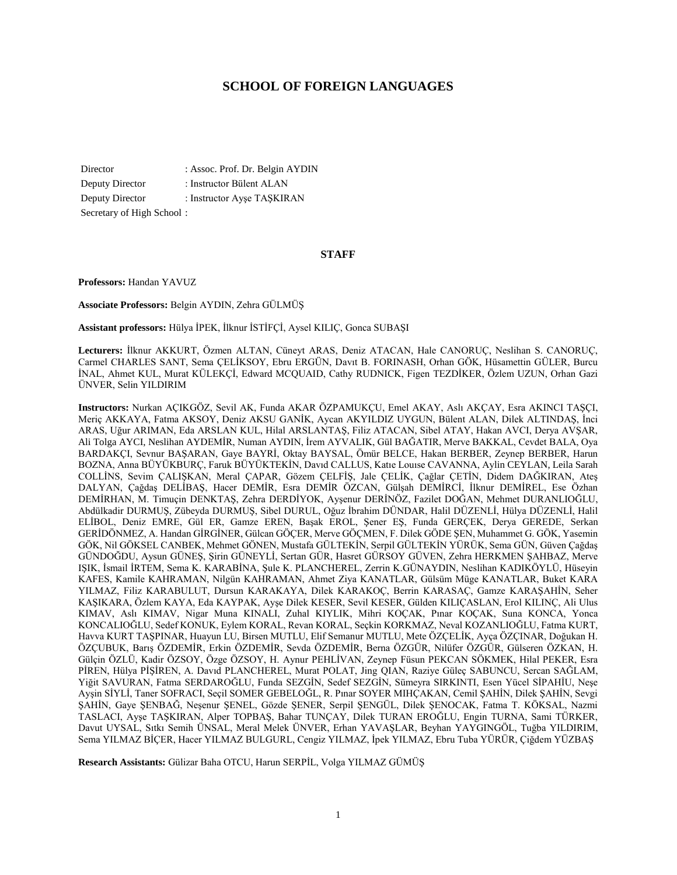# **SCHOOL OF FOREIGN LANGUAGES**

Director : Assoc. Prof. Dr. Belgin AYDIN Deputy Director : Instructor Bülent ALAN Deputy Director : Instructor Ayse TASKIRAN Secretary of High School :

#### **STAFF**

**Professors:** Handan YAVUZ

**Associate Professors:** Belgin AYDIN, Zehra GÜLMÜŞ

**Assistant professors:** Hülya İPEK, İlknur İSTİFÇİ, Aysel KILIÇ, Gonca SUBAŞI

**Lecturers:** İlknur AKKURT, Özmen ALTAN, Cüneyt ARAS, Deniz ATACAN, Hale CANORUÇ, Neslihan S. CANORUÇ, Carmel CHARLES SANT, Sema ÇELİKSOY, Ebru ERGÜN, Davıt B. FORINASH, Orhan GÖK, Hüsamettin GÜLER, Burcu İNAL, Ahmet KUL, Murat KÜLEKÇİ, Edward MCQUAID, Cathy RUDNICK, Figen TEZDİKER, Özlem UZUN, Orhan Gazi ÜNVER, Selin YILDIRIM

**Instructors:** Nurkan AÇIKGÖZ, Sevil AK, Funda AKAR ÖZPAMUKÇU, Emel AKAY, Aslı AKÇAY, Esra AKINCI TAŞÇI, Meriç AKKAYA, Fatma AKSOY, Deniz AKSU GANİK, Aycan AKYILDIZ UYGUN, Bülent ALAN, Dilek ALTINDAŞ, İnci ARAS, Uğur ARIMAN, Eda ARSLAN KUL, Hilal ARSLANTAŞ, Filiz ATACAN, Sibel ATAY, Hakan AVCI, Derya AVŞAR, Ali Tolga AYCI, Neslihan AYDEMİR, Numan AYDIN, İrem AYVALIK, Gül BAĞATIR, Merve BAKKAL, Cevdet BALA, Oya BARDAKÇI, Sevnur BAŞARAN, Gaye BAYRİ, Oktay BAYSAL, Ömür BELCE, Hakan BERBER, Zeynep BERBER, Harun BOZNA, Anna BÜYÜKBURÇ, Faruk BÜYÜKTEKİN, Davıd CALLUS, Katıe Louıse CAVANNA, Aylin CEYLAN, Leila Sarah COLLİNS, Sevim ÇALIŞKAN, Meral ÇAPAR, Gözem ÇELFİŞ, Jale ÇELİK, Çağlar ÇETİN, Didem DAĞKIRAN, Ateş DALYAN, Çağdaş DELİBAŞ, Hacer DEMİR, Esra DEMİR ÖZCAN, Gülşah DEMİRCİ, İlknur DEMİREL, Ese Özhan DEMİRHAN, M. Timuçin DENKTAŞ, Zehra DERDİYOK, Ayşenur DERİNÖZ, Fazilet DOĞAN, Mehmet DURANLIOĞLU, Abdülkadir DURMUŞ, Zübeyda DURMUŞ, Sibel DURUL, Oğuz İbrahim DÜNDAR, Halil DÜZENLİ, Hülya DÜZENLİ, Halil ELİBOL, Deniz EMRE, Gül ER, Gamze EREN, Başak EROL, Şener EŞ, Funda GERÇEK, Derya GEREDE, Serkan GERİDÖNMEZ, A. Handan GİRGİNER, Gülcan GÖÇER, Merve GÖÇMEN, F. Dilek GÖDE ŞEN, Muhammet G. GÖK, Yasemin GÖK, Nil GÖKSEL CANBEK, Mehmet GÖNEN, Mustafa GÜLTEKİN, Serpil GÜLTEKİN YÜRÜK, Sema GÜN, Güven Çağdaş GÜNDOĞDU, Aysun GÜNEŞ, Şirin GÜNEYLİ, Sertan GÜR, Hasret GÜRSOY GÜVEN, Zehra HERKMEN ŞAHBAZ, Merve IŞIK, İsmail İRTEM, Sema K. KARABİNA, Şule K. PLANCHEREL, Zerrin K.GÜNAYDIN, Neslihan KADIKÖYLÜ, Hüseyin KAFES, Kamile KAHRAMAN, Nilgün KAHRAMAN, Ahmet Ziya KANATLAR, Gülsüm Müge KANATLAR, Buket KARA YILMAZ, Filiz KARABULUT, Dursun KARAKAYA, Dilek KARAKOÇ, Berrin KARASAÇ, Gamze KARAŞAHİN, Seher KAŞIKARA, Özlem KAYA, Eda KAYPAK, Ayşe Dilek KESER, Sevil KESER, Gülden KILIÇASLAN, Erol KILINÇ, Ali Ulus KIMAV, Aslı KIMAV, Nigar Muna KINALI, Zuhal KIYLIK, Mihri KOÇAK, Pınar KOÇAK, Suna KONCA, Yonca KONCALIOĞLU, Sedef KONUK, Eylem KORAL, Revan KORAL, Seçkin KORKMAZ, Neval KOZANLIOĞLU, Fatma KURT, Havva KURT TAŞPINAR, Huayun LU, Birsen MUTLU, Elif Semanur MUTLU, Mete ÖZÇELİK, Ayça ÖZÇINAR, Doğukan H. ÖZÇUBUK, Barış ÖZDEMİR, Erkin ÖZDEMİR, Sevda ÖZDEMİR, Berna ÖZGÜR, Nilüfer ÖZGÜR, Gülseren ÖZKAN, H. Gülçin ÖZLÜ, Kadir ÖZSOY, Özge ÖZSOY, H. Aynur PEHLİVAN, Zeynep Füsun PEKCAN SÖKMEK, Hilal PEKER, Esra PİREN, Hülya PİŞİREN, A. Davıd PLANCHEREL, Murat POLAT, Jing QIAN, Raziye Güleç SABUNCU, Sercan SAĞLAM, Yiğit SAVURAN, Fatma SERDAROĞLU, Funda SEZGİN, Sedef SEZGİN, Sümeyra SIRKINTI, Esen Yücel SİPAHİU, Neşe Ayşin SİYLİ, Taner SOFRACI, Seçil SOMER GEBELOĞL, R. Pınar SOYER MIHÇAKAN, Cemil ŞAHİN, Dilek ŞAHİN, Sevgi ŞAHİN, Gaye ŞENBAĞ, Neşenur ŞENEL, Gözde ŞENER, Serpil ŞENGÜL, Dilek ŞENOCAK, Fatma T. KÖKSAL, Nazmi TASLACI, Ayşe TAŞKIRAN, Alper TOPBAŞ, Bahar TUNÇAY, Dilek TURAN EROĞLU, Engin TURNA, Sami TÜRKER, Davut UYSAL, Sıtkı Semih ÜNSAL, Meral Melek ÜNVER, Erhan YAVAŞLAR, Beyhan YAYGINGÖL, Tuğba YILDIRIM, Sema YILMAZ BİÇER, Hacer YILMAZ BULGURL, Cengiz YILMAZ, İpek YILMAZ, Ebru Tuba YÜRÜR, Çiğdem YÜZBAŞ

**Research Assistants:** Gülizar Baha OTCU, Harun SERPİL, Volga YILMAZ GÜMÜŞ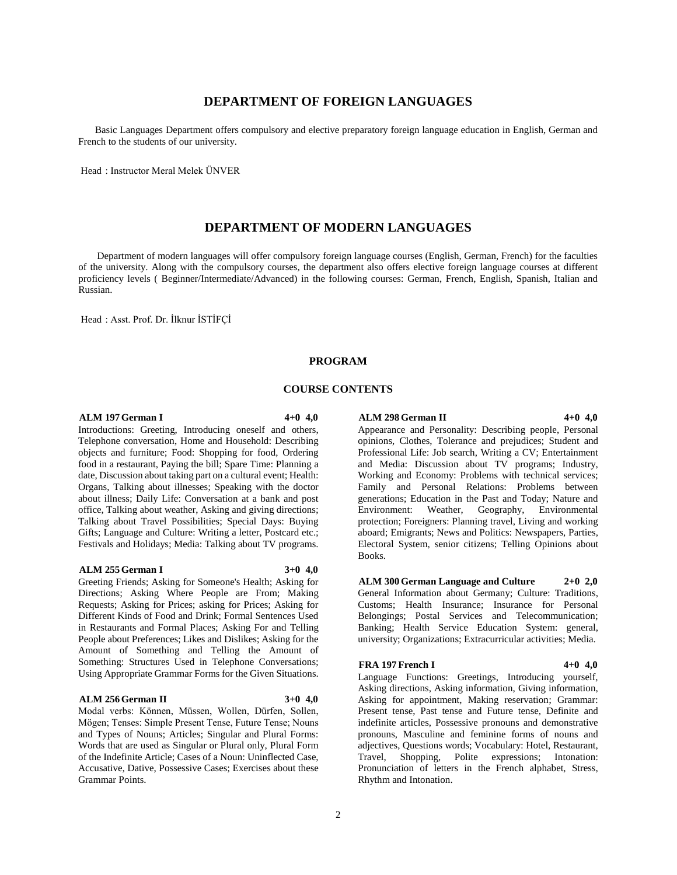# **DEPARTMENT OF FOREIGN LANGUAGES**

 Basic Languages Department offers compulsory and elective preparatory foreign language education in English, German and French to the students of our university.

Head : Instructor Meral Melek ÜNVER

# **DEPARTMENT OF MODERN LANGUAGES**

 Department of modern languages will offer compulsory foreign language courses (English, German, French) for the faculties of the university. Along with the compulsory courses, the department also offers elective foreign language courses at different proficiency levels ( Beginner/Intermediate/Advanced) in the following courses: German, French, English, Spanish, Italian and Russian.

Head : Asst. Prof. Dr. İlknur İSTİFÇİ

### **PROGRAM**

## **COURSE CONTENTS**

#### **ALM 197 German I 4+0 4,0**

Introductions: Greeting, Introducing oneself and others, Telephone conversation, Home and Household: Describing objects and furniture; Food: Shopping for food, Ordering food in a restaurant, Paying the bill; Spare Time: Planning a date, Discussion about taking part on a cultural event; Health: Organs, Talking about illnesses; Speaking with the doctor about illness; Daily Life: Conversation at a bank and post office, Talking about weather, Asking and giving directions; Talking about Travel Possibilities; Special Days: Buying Gifts; Language and Culture: Writing a letter, Postcard etc.; Festivals and Holidays; Media: Talking about TV programs.

#### **ALM 255 German I 3+0 4,0**

Greeting Friends; Asking for Someone's Health; Asking for Directions; Asking Where People are From; Making Requests; Asking for Prices; asking for Prices; Asking for Different Kinds of Food and Drink; Formal Sentences Used in Restaurants and Formal Places; Asking For and Telling People about Preferences; Likes and Dislikes; Asking for the Amount of Something and Telling the Amount of Something: Structures Used in Telephone Conversations; Using Appropriate Grammar Forms for the Given Situations.

#### **ALM 256 German II 3+0 4,0**

Modal verbs: Können, Müssen, Wollen, Dürfen, Sollen, Mögen; Tenses: Simple Present Tense, Future Tense; Nouns and Types of Nouns; Articles; Singular and Plural Forms: Words that are used as Singular or Plural only, Plural Form of the Indefinite Article; Cases of a Noun: Uninflected Case, Accusative, Dative, Possessive Cases; Exercises about these Grammar Points.

#### **ALM 298 German II 4+0 4,0**

Appearance and Personality: Describing people, Personal opinions, Clothes, Tolerance and prejudices; Student and Professional Life: Job search, Writing a CV; Entertainment and Media: Discussion about TV programs; Industry, Working and Economy: Problems with technical services; Family and Personal Relations: Problems between generations; Education in the Past and Today; Nature and Environment: Weather, Geography, Environmental protection; Foreigners: Planning travel, Living and working aboard; Emigrants; News and Politics: Newspapers, Parties, Electoral System, senior citizens; Telling Opinions about Books.

**ALM 300 German Language and Culture 2+0 2,0** General Information about Germany; Culture: Traditions, Customs; Health Insurance; Insurance for Personal Belongings; Postal Services and Telecommunication; Banking; Health Service Education System: general, university; Organizations; Extracurricular activities; Media.

#### **FRA 197 French I 4+0 4,0**

Language Functions: Greetings, Introducing yourself, Asking directions, Asking information, Giving information, Asking for appointment, Making reservation; Grammar: Present tense, Past tense and Future tense, Definite and indefinite articles, Possessive pronouns and demonstrative pronouns, Masculine and feminine forms of nouns and adjectives, Questions words; Vocabulary: Hotel, Restaurant, Travel, Shopping, Polite expressions; Intonation: Pronunciation of letters in the French alphabet, Stress, Rhythm and Intonation.